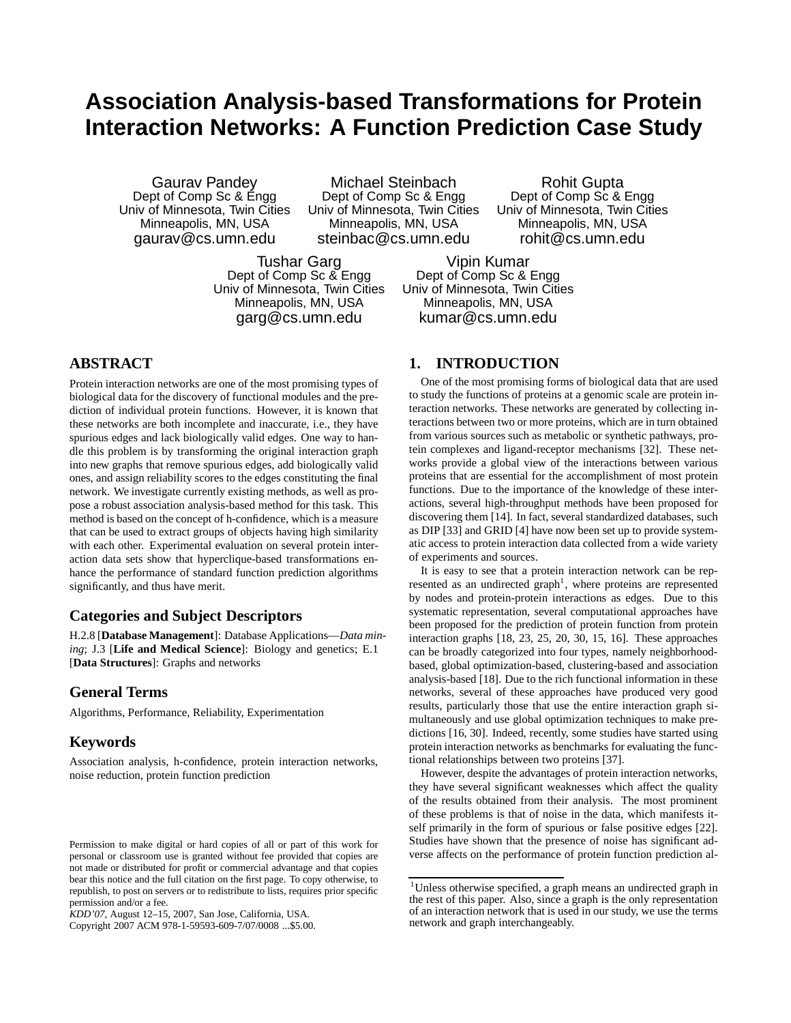# **Association Analysis-based Transformations for Protein Interaction Networks: A Function Prediction Case Study**

Gaurav Pandey Dept of Comp Sc & Engg Univ of Minnesota, Twin Cities Minneapolis, MN, USA gaurav@cs.umn.edu

Michael Steinbach Dept of Comp Sc & Engg Univ of Minnesota, Twin Cities Minneapolis, MN, USA steinbac@cs.umn.edu

Rohit Gupta Dept of Comp Sc & Engg Univ of Minnesota, Twin Cities Minneapolis, MN, USA rohit@cs.umn.edu

Tushar Garg Dept of Comp Sc & Engg Univ of Minnesota, Twin Cities Minneapolis, MN, USA garg@cs.umn.edu

Vipin Kumar Dept of Comp Sc & Engg Univ of Minnesota, Twin Cities Minneapolis, MN, USA kumar@cs.umn.edu

# **ABSTRACT**

Protein interaction networks are one of the most promising types of biological data for the discovery of functional modules and the prediction of individual protein functions. However, it is known that these networks are both incomplete and inaccurate, i.e., they have spurious edges and lack biologically valid edges. One way to handle this problem is by transforming the original interaction graph into new graphs that remove spurious edges, add biologically valid ones, and assign reliability scores to the edges constituting the final network. We investigate currently existing methods, as well as propose a robust association analysis-based method for this task. This method is based on the concept of h-confidence, which is a measure that can be used to extract groups of objects having high similarity with each other. Experimental evaluation on several protein interaction data sets show that hyperclique-based transformations enhance the performance of standard function prediction algorithms significantly, and thus have merit.

## **Categories and Subject Descriptors**

H.2.8 [**Database Management**]: Database Applications—*Data mining*; J.3 [**Life and Medical Science**]: Biology and genetics; E.1 [**Data Structures**]: Graphs and networks

## **General Terms**

Algorithms, Performance, Reliability, Experimentation

## **Keywords**

Association analysis, h-confidence, protein interaction networks, noise reduction, protein function prediction

Copyright 2007 ACM 978-1-59593-609-7/07/0008 ...\$5.00.

**1. INTRODUCTION**

One of the most promising forms of biological data that are used to study the functions of proteins at a genomic scale are protein interaction networks. These networks are generated by collecting interactions between two or more proteins, which are in turn obtained from various sources such as metabolic or synthetic pathways, protein complexes and ligand-receptor mechanisms [32]. These networks provide a global view of the interactions between various proteins that are essential for the accomplishment of most protein functions. Due to the importance of the knowledge of these interactions, several high-throughput methods have been proposed for discovering them [14]. In fact, several standardized databases, such as DIP [33] and GRID [4] have now been set up to provide systematic access to protein interaction data collected from a wide variety of experiments and sources.

It is easy to see that a protein interaction network can be represented as an undirected graph<sup>1</sup>, where proteins are represented by nodes and protein-protein interactions as edges. Due to this systematic representation, several computational approaches have been proposed for the prediction of protein function from protein interaction graphs [18, 23, 25, 20, 30, 15, 16]. These approaches can be broadly categorized into four types, namely neighborhoodbased, global optimization-based, clustering-based and association analysis-based [18]. Due to the rich functional information in these networks, several of these approaches have produced very good results, particularly those that use the entire interaction graph simultaneously and use global optimization techniques to make predictions [16, 30]. Indeed, recently, some studies have started using protein interaction networks as benchmarks for evaluating the functional relationships between two proteins [37].

However, despite the advantages of protein interaction networks, they have several significant weaknesses which affect the quality of the results obtained from their analysis. The most prominent of these problems is that of noise in the data, which manifests itself primarily in the form of spurious or false positive edges [22]. Studies have shown that the presence of noise has significant adverse affects on the performance of protein function prediction al-

Permission to make digital or hard copies of all or part of this work for personal or classroom use is granted without fee provided that copies are not made or distributed for profit or commercial advantage and that copies bear this notice and the full citation on the first page. To copy otherwise, to republish, to post on servers or to redistribute to lists, requires prior specific permission and/or a fee.

*KDD'07,* August 12–15, 2007, San Jose, California, USA.

<sup>&</sup>lt;sup>1</sup>Unless otherwise specified, a graph means an undirected graph in the rest of this paper. Also, since a graph is the only representation of an interaction network that is used in our study, we use the terms network and graph interchangeably.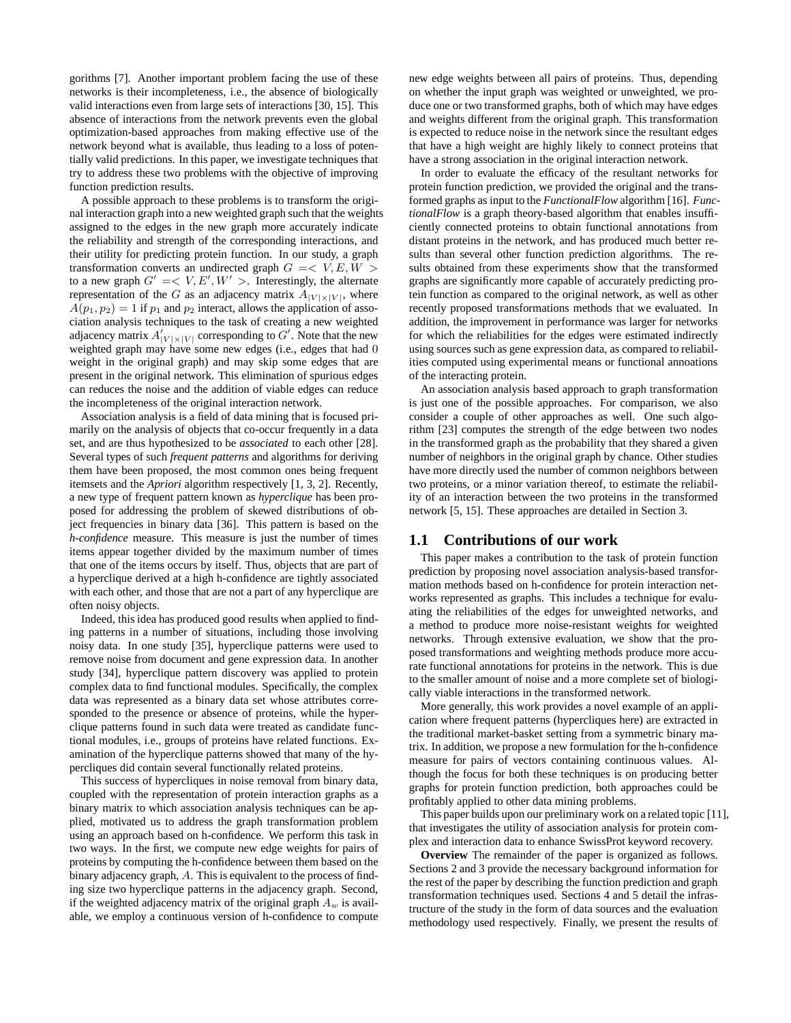gorithms [7]. Another important problem facing the use of these networks is their incompleteness, i.e., the absence of biologically valid interactions even from large sets of interactions [30, 15]. This absence of interactions from the network prevents even the global optimization-based approaches from making effective use of the network beyond what is available, thus leading to a loss of potentially valid predictions. In this paper, we investigate techniques that try to address these two problems with the objective of improving function prediction results.

A possible approach to these problems is to transform the original interaction graph into a new weighted graph such that the weights assigned to the edges in the new graph more accurately indicate the reliability and strength of the corresponding interactions, and their utility for predicting protein function. In our study, a graph transformation converts an undirected graph  $G = \langle V, E, W \rangle$ to a new graph  $G' = \langle V, E', W' \rangle$ . Interestingly, the alternate representation of the G as an adjacency matrix  $A_{|V| \times |V|}$ , where  $A(p_1, p_2) = 1$  if  $p_1$  and  $p_2$  interact, allows the application of association analysis techniques to the task of creating a new weighted adjacency matrix  $A'_{|V| \times |V|}$  corresponding to  $G'$ . Note that the new weighted graph may have some new edges (i.e., edges that had 0 weight in the original graph) and may skip some edges that are present in the original network. This elimination of spurious edges can reduces the noise and the addition of viable edges can reduce the incompleteness of the original interaction network.

Association analysis is a field of data mining that is focused primarily on the analysis of objects that co-occur frequently in a data set, and are thus hypothesized to be *associated* to each other [28]. Several types of such *frequent patterns* and algorithms for deriving them have been proposed, the most common ones being frequent itemsets and the *Apriori* algorithm respectively [1, 3, 2]. Recently, a new type of frequent pattern known as *hyperclique* has been proposed for addressing the problem of skewed distributions of object frequencies in binary data [36]. This pattern is based on the *h-confidence* measure. This measure is just the number of times items appear together divided by the maximum number of times that one of the items occurs by itself. Thus, objects that are part of a hyperclique derived at a high h-confidence are tightly associated with each other, and those that are not a part of any hyperclique are often noisy objects.

Indeed, this idea has produced good results when applied to finding patterns in a number of situations, including those involving noisy data. In one study [35], hyperclique patterns were used to remove noise from document and gene expression data. In another study [34], hyperclique pattern discovery was applied to protein complex data to find functional modules. Specifically, the complex data was represented as a binary data set whose attributes corresponded to the presence or absence of proteins, while the hyperclique patterns found in such data were treated as candidate functional modules, i.e., groups of proteins have related functions. Examination of the hyperclique patterns showed that many of the hypercliques did contain several functionally related proteins.

This success of hypercliques in noise removal from binary data, coupled with the representation of protein interaction graphs as a binary matrix to which association analysis techniques can be applied, motivated us to address the graph transformation problem using an approach based on h-confidence. We perform this task in two ways. In the first, we compute new edge weights for pairs of proteins by computing the h-confidence between them based on the binary adjacency graph, A. This is equivalent to the process of finding size two hyperclique patterns in the adjacency graph. Second, if the weighted adjacency matrix of the original graph  $A_w$  is available, we employ a continuous version of h-confidence to compute

new edge weights between all pairs of proteins. Thus, depending on whether the input graph was weighted or unweighted, we produce one or two transformed graphs, both of which may have edges and weights different from the original graph. This transformation is expected to reduce noise in the network since the resultant edges that have a high weight are highly likely to connect proteins that have a strong association in the original interaction network.

In order to evaluate the efficacy of the resultant networks for protein function prediction, we provided the original and the transformed graphs as input to the *FunctionalFlow* algorithm [16]. *FunctionalFlow* is a graph theory-based algorithm that enables insufficiently connected proteins to obtain functional annotations from distant proteins in the network, and has produced much better results than several other function prediction algorithms. The results obtained from these experiments show that the transformed graphs are significantly more capable of accurately predicting protein function as compared to the original network, as well as other recently proposed transformations methods that we evaluated. In addition, the improvement in performance was larger for networks for which the reliabilities for the edges were estimated indirectly using sources such as gene expression data, as compared to reliabilities computed using experimental means or functional annoations of the interacting protein.

An association analysis based approach to graph transformation is just one of the possible approaches. For comparison, we also consider a couple of other approaches as well. One such algorithm [23] computes the strength of the edge between two nodes in the transformed graph as the probability that they shared a given number of neighbors in the original graph by chance. Other studies have more directly used the number of common neighbors between two proteins, or a minor variation thereof, to estimate the reliability of an interaction between the two proteins in the transformed network [5, 15]. These approaches are detailed in Section 3.

#### **1.1 Contributions of our work**

This paper makes a contribution to the task of protein function prediction by proposing novel association analysis-based transformation methods based on h-confidence for protein interaction networks represented as graphs. This includes a technique for evaluating the reliabilities of the edges for unweighted networks, and a method to produce more noise-resistant weights for weighted networks. Through extensive evaluation, we show that the proposed transformations and weighting methods produce more accurate functional annotations for proteins in the network. This is due to the smaller amount of noise and a more complete set of biologically viable interactions in the transformed network.

More generally, this work provides a novel example of an application where frequent patterns (hypercliques here) are extracted in the traditional market-basket setting from a symmetric binary matrix. In addition, we propose a new formulation for the h-confidence measure for pairs of vectors containing continuous values. Although the focus for both these techniques is on producing better graphs for protein function prediction, both approaches could be profitably applied to other data mining problems.

This paper builds upon our preliminary work on a related topic [11], that investigates the utility of association analysis for protein complex and interaction data to enhance SwissProt keyword recovery.

**Overview** The remainder of the paper is organized as follows. Sections 2 and 3 provide the necessary background information for the rest of the paper by describing the function prediction and graph transformation techniques used. Sections 4 and 5 detail the infrastructure of the study in the form of data sources and the evaluation methodology used respectively. Finally, we present the results of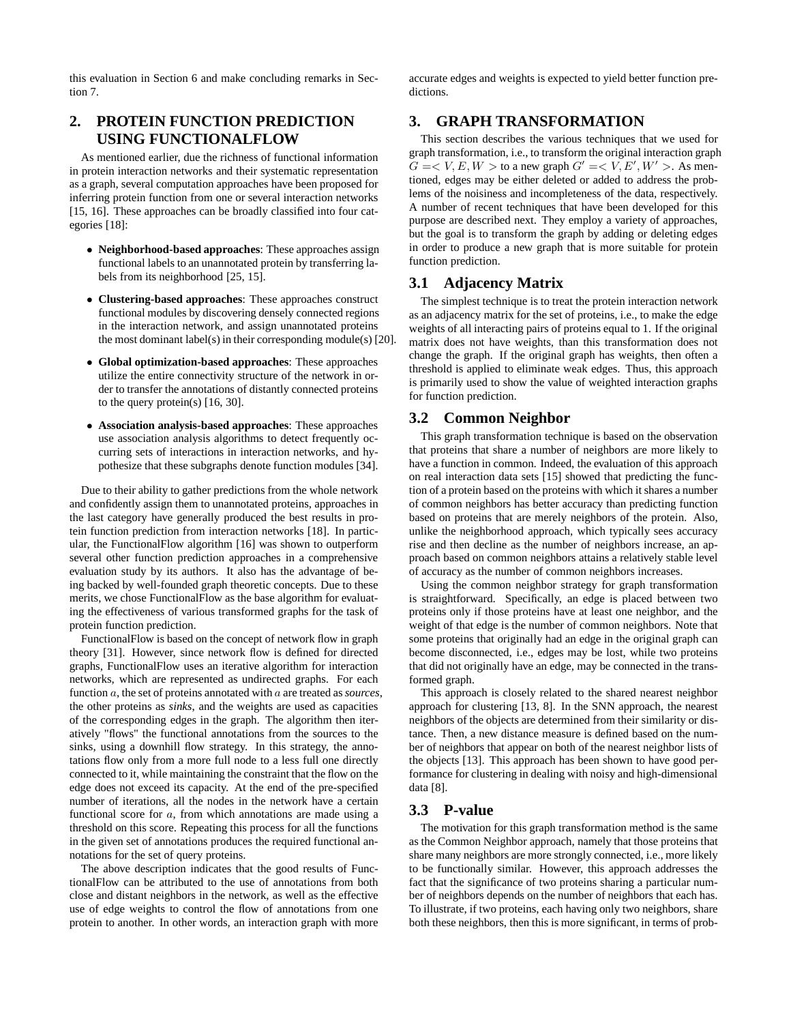this evaluation in Section 6 and make concluding remarks in Section 7.

# **2. PROTEIN FUNCTION PREDICTION USING FUNCTIONALFLOW**

As mentioned earlier, due the richness of functional information in protein interaction networks and their systematic representation as a graph, several computation approaches have been proposed for inferring protein function from one or several interaction networks [15, 16]. These approaches can be broadly classified into four categories [18]:

- **Neighborhood-based approaches**: These approaches assign functional labels to an unannotated protein by transferring labels from its neighborhood [25, 15].
- **Clustering-based approaches**: These approaches construct functional modules by discovering densely connected regions in the interaction network, and assign unannotated proteins the most dominant label(s) in their corresponding module(s) [20].
- **Global optimization-based approaches**: These approaches utilize the entire connectivity structure of the network in order to transfer the annotations of distantly connected proteins to the query protein(s) [16, 30].
- **Association analysis-based approaches**: These approaches use association analysis algorithms to detect frequently occurring sets of interactions in interaction networks, and hypothesize that these subgraphs denote function modules [34].

Due to their ability to gather predictions from the whole network and confidently assign them to unannotated proteins, approaches in the last category have generally produced the best results in protein function prediction from interaction networks [18]. In particular, the FunctionalFlow algorithm [16] was shown to outperform several other function prediction approaches in a comprehensive evaluation study by its authors. It also has the advantage of being backed by well-founded graph theoretic concepts. Due to these merits, we chose FunctionalFlow as the base algorithm for evaluating the effectiveness of various transformed graphs for the task of protein function prediction.

FunctionalFlow is based on the concept of network flow in graph theory [31]. However, since network flow is defined for directed graphs, FunctionalFlow uses an iterative algorithm for interaction networks, which are represented as undirected graphs. For each function a, the set of proteins annotated with a are treated as*sources*, the other proteins as *sinks*, and the weights are used as capacities of the corresponding edges in the graph. The algorithm then iteratively "flows" the functional annotations from the sources to the sinks, using a downhill flow strategy. In this strategy, the annotations flow only from a more full node to a less full one directly connected to it, while maintaining the constraint that the flow on the edge does not exceed its capacity. At the end of the pre-specified number of iterations, all the nodes in the network have a certain functional score for a, from which annotations are made using a threshold on this score. Repeating this process for all the functions in the given set of annotations produces the required functional annotations for the set of query proteins.

The above description indicates that the good results of FunctionalFlow can be attributed to the use of annotations from both close and distant neighbors in the network, as well as the effective use of edge weights to control the flow of annotations from one protein to another. In other words, an interaction graph with more

accurate edges and weights is expected to yield better function predictions.

## **3. GRAPH TRANSFORMATION**

This section describes the various techniques that we used for graph transformation, i.e., to transform the original interaction graph  $G = < V, E, W >$  to a new graph  $G' = < V, E', W' >$ . As mentioned, edges may be either deleted or added to address the problems of the noisiness and incompleteness of the data, respectively. A number of recent techniques that have been developed for this purpose are described next. They employ a variety of approaches, but the goal is to transform the graph by adding or deleting edges in order to produce a new graph that is more suitable for protein function prediction.

## **3.1 Adjacency Matrix**

The simplest technique is to treat the protein interaction network as an adjacency matrix for the set of proteins, i.e., to make the edge weights of all interacting pairs of proteins equal to 1. If the original matrix does not have weights, than this transformation does not change the graph. If the original graph has weights, then often a threshold is applied to eliminate weak edges. Thus, this approach is primarily used to show the value of weighted interaction graphs for function prediction.

## **3.2 Common Neighbor**

This graph transformation technique is based on the observation that proteins that share a number of neighbors are more likely to have a function in common. Indeed, the evaluation of this approach on real interaction data sets [15] showed that predicting the function of a protein based on the proteins with which it shares a number of common neighbors has better accuracy than predicting function based on proteins that are merely neighbors of the protein. Also, unlike the neighborhood approach, which typically sees accuracy rise and then decline as the number of neighbors increase, an approach based on common neighbors attains a relatively stable level of accuracy as the number of common neighbors increases.

Using the common neighbor strategy for graph transformation is straightforward. Specifically, an edge is placed between two proteins only if those proteins have at least one neighbor, and the weight of that edge is the number of common neighbors. Note that some proteins that originally had an edge in the original graph can become disconnected, i.e., edges may be lost, while two proteins that did not originally have an edge, may be connected in the transformed graph.

This approach is closely related to the shared nearest neighbor approach for clustering [13, 8]. In the SNN approach, the nearest neighbors of the objects are determined from their similarity or distance. Then, a new distance measure is defined based on the number of neighbors that appear on both of the nearest neighbor lists of the objects [13]. This approach has been shown to have good performance for clustering in dealing with noisy and high-dimensional data [8].

## **3.3 P-value**

The motivation for this graph transformation method is the same as the Common Neighbor approach, namely that those proteins that share many neighbors are more strongly connected, i.e., more likely to be functionally similar. However, this approach addresses the fact that the significance of two proteins sharing a particular number of neighbors depends on the number of neighbors that each has. To illustrate, if two proteins, each having only two neighbors, share both these neighbors, then this is more significant, in terms of prob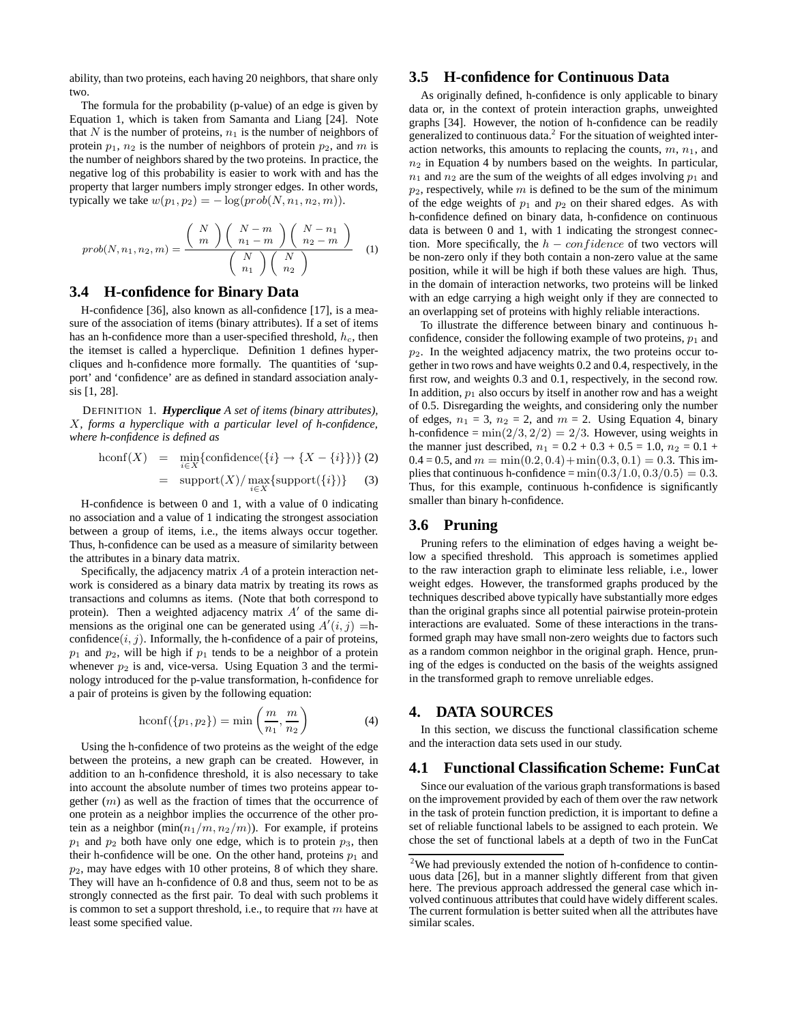ability, than two proteins, each having 20 neighbors, that share only two.

The formula for the probability (p-value) of an edge is given by Equation 1, which is taken from Samanta and Liang [24]. Note that N is the number of proteins,  $n_1$  is the number of neighbors of protein  $p_1$ ,  $n_2$  is the number of neighbors of protein  $p_2$ , and m is the number of neighbors shared by the two proteins. In practice, the negative log of this probability is easier to work with and has the property that larger numbers imply stronger edges. In other words, typically we take  $w(p_1, p_2) = -\log(prob(N, n_1, n_2, m)).$ 

$$
prob(N, n_1, n_2, m) = \frac{\binom{N}{m}\binom{N-m}{n_1-m}\binom{N-n_1}{n_2-m}}{\binom{N}{n_1}\binom{N}{n_2}}
$$
(1)

## **3.4 H-confidence for Binary Data**

H-confidence [36], also known as all-confidence [17], is a measure of the association of items (binary attributes). If a set of items has an h-confidence more than a user-specified threshold,  $h_c$ , then the itemset is called a hyperclique. Definition 1 defines hypercliques and h-confidence more formally. The quantities of 'support' and 'confidence' are as defined in standard association analysis [1, 28].

DEFINITION 1. *Hyperclique A set of items (binary attributes),* X*, forms a hyperclique with a particular level of h-confidence, where h-confidence is defined as*

$$
\begin{array}{rcl}\n\text{hconf}(X) & = & \min_{i \in X} \{\text{confidence}(\{i\} \to \{X - \{i\}\})\} \text{ (2)} \\
& = & \text{support}(X) / \max_{i \in X} \{\text{support}(\{i\})\} \qquad \text{(3)}\n\end{array}
$$

H-confidence is between 0 and 1, with a value of 0 indicating no association and a value of 1 indicating the strongest association between a group of items, i.e., the items always occur together. Thus, h-confidence can be used as a measure of similarity between the attributes in a binary data matrix.

Specifically, the adjacency matrix  $A$  of a protein interaction network is considered as a binary data matrix by treating its rows as transactions and columns as items. (Note that both correspond to protein). Then a weighted adjacency matrix  $A'$  of the same dimensions as the original one can be generated using  $A'(i, j) = h$ confidence $(i, j)$ . Informally, the h-confidence of a pair of proteins,  $p_1$  and  $p_2$ , will be high if  $p_1$  tends to be a neighbor of a protein whenever  $p_2$  is and, vice-versa. Using Equation 3 and the terminology introduced for the p-value transformation, h-confidence for a pair of proteins is given by the following equation:

$$
hconf(\lbrace p_1, p_2 \rbrace) = \min\left(\frac{m}{n_1}, \frac{m}{n_2}\right) \tag{4}
$$

Using the h-confidence of two proteins as the weight of the edge between the proteins, a new graph can be created. However, in addition to an h-confidence threshold, it is also necessary to take into account the absolute number of times two proteins appear together  $(m)$  as well as the fraction of times that the occurrence of one protein as a neighbor implies the occurrence of the other protein as a neighbor  $(\min(n_1/m, n_2/m))$ . For example, if proteins  $p_1$  and  $p_2$  both have only one edge, which is to protein  $p_3$ , then their h-confidence will be one. On the other hand, proteins  $p_1$  and  $p_2$ , may have edges with 10 other proteins, 8 of which they share. They will have an h-confidence of 0.8 and thus, seem not to be as strongly connected as the first pair. To deal with such problems it is common to set a support threshold, i.e., to require that  $m$  have at least some specified value.

## **3.5 H-confidence for Continuous Data**

As originally defined, h-confidence is only applicable to binary data or, in the context of protein interaction graphs, unweighted graphs [34]. However, the notion of h-confidence can be readily generalized to continuous data. ${}^{2}$  For the situation of weighted interaction networks, this amounts to replacing the counts,  $m$ ,  $n_1$ , and  $n_2$  in Equation 4 by numbers based on the weights. In particular,  $n_1$  and  $n_2$  are the sum of the weights of all edges involving  $p_1$  and  $p_2$ , respectively, while m is defined to be the sum of the minimum of the edge weights of  $p_1$  and  $p_2$  on their shared edges. As with h-confidence defined on binary data, h-confidence on continuous data is between 0 and 1, with 1 indicating the strongest connection. More specifically, the  $h$  – confidence of two vectors will be non-zero only if they both contain a non-zero value at the same position, while it will be high if both these values are high. Thus, in the domain of interaction networks, two proteins will be linked with an edge carrying a high weight only if they are connected to an overlapping set of proteins with highly reliable interactions.

To illustrate the difference between binary and continuous hconfidence, consider the following example of two proteins,  $p_1$  and  $p_2$ . In the weighted adjacency matrix, the two proteins occur together in two rows and have weights 0.2 and 0.4, respectively, in the first row, and weights 0.3 and 0.1, respectively, in the second row. In addition,  $p_1$  also occurs by itself in another row and has a weight of 0.5. Disregarding the weights, and considering only the number of edges,  $n_1 = 3$ ,  $n_2 = 2$ , and  $m = 2$ . Using Equation 4, binary h-confidence =  $min(2/3, 2/2) = 2/3$ . However, using weights in the manner just described,  $n_1 = 0.2 + 0.3 + 0.5 = 1.0$ ,  $n_2 = 0.1 +$  $0.4 = 0.5$ , and  $m = \min(0.2, 0.4) + \min(0.3, 0.1) = 0.3$ . This implies that continuous h-confidence  $=\min(0.3/1.0, 0.3/0.5) = 0.3$ . Thus, for this example, continuous h-confidence is significantly smaller than binary h-confidence.

## **3.6 Pruning**

Pruning refers to the elimination of edges having a weight below a specified threshold. This approach is sometimes applied to the raw interaction graph to eliminate less reliable, i.e., lower weight edges. However, the transformed graphs produced by the techniques described above typically have substantially more edges than the original graphs since all potential pairwise protein-protein interactions are evaluated. Some of these interactions in the transformed graph may have small non-zero weights due to factors such as a random common neighbor in the original graph. Hence, pruning of the edges is conducted on the basis of the weights assigned in the transformed graph to remove unreliable edges.

## **4. DATA SOURCES**

In this section, we discuss the functional classification scheme and the interaction data sets used in our study.

#### **4.1 Functional Classification Scheme: FunCat**

Since our evaluation of the various graph transformations is based on the improvement provided by each of them over the raw network in the task of protein function prediction, it is important to define a set of reliable functional labels to be assigned to each protein. We chose the set of functional labels at a depth of two in the FunCat

<sup>2</sup>We had previously extended the notion of h-confidence to continuous data [26], but in a manner slightly different from that given here. The previous approach addressed the general case which involved continuous attributes that could have widely different scales. The current formulation is better suited when all the attributes have similar scales.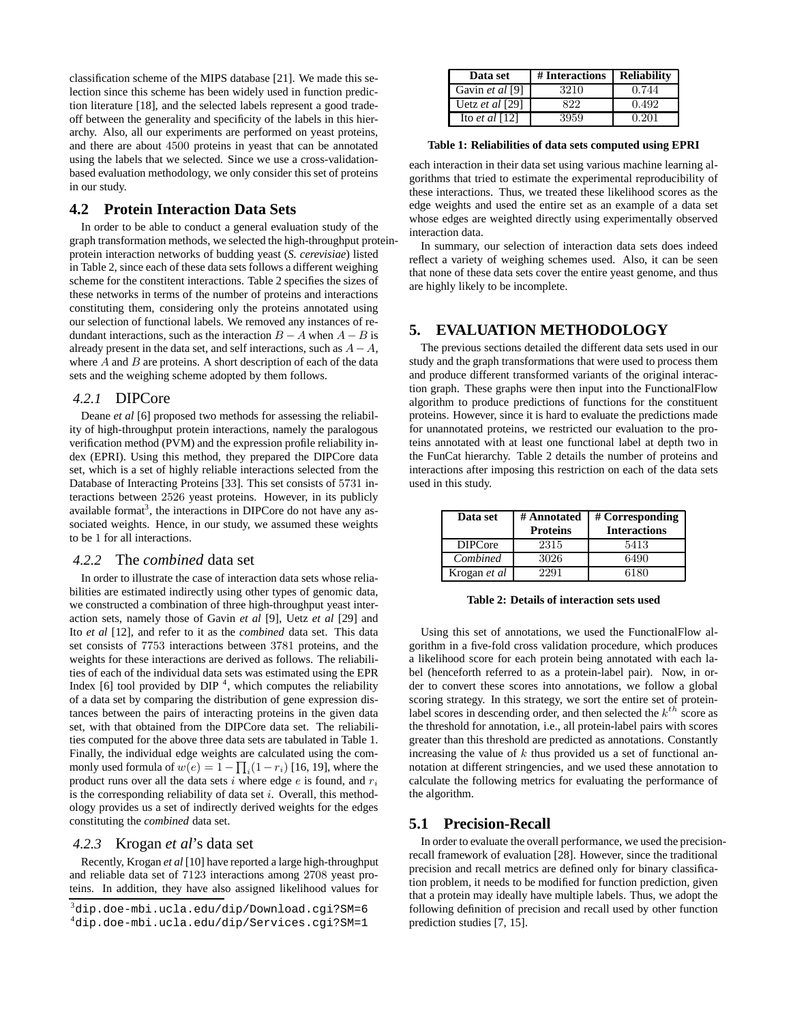classification scheme of the MIPS database [21]. We made this selection since this scheme has been widely used in function prediction literature [18], and the selected labels represent a good tradeoff between the generality and specificity of the labels in this hierarchy. Also, all our experiments are performed on yeast proteins, and there are about 4500 proteins in yeast that can be annotated using the labels that we selected. Since we use a cross-validationbased evaluation methodology, we only consider this set of proteins in our study.

#### **4.2 Protein Interaction Data Sets**

In order to be able to conduct a general evaluation study of the graph transformation methods, we selected the high-throughput proteinprotein interaction networks of budding yeast (*S. cerevisiae*) listed in Table 2, since each of these data sets follows a different weighing scheme for the constitent interactions. Table 2 specifies the sizes of these networks in terms of the number of proteins and interactions constituting them, considering only the proteins annotated using our selection of functional labels. We removed any instances of redundant interactions, such as the interaction  $B - A$  when  $A - B$  is already present in the data set, and self interactions, such as  $A-A$ , where  $A$  and  $B$  are proteins. A short description of each of the data sets and the weighing scheme adopted by them follows.

## *4.2.1* DIPCore

Deane *et al* [6] proposed two methods for assessing the reliability of high-throughput protein interactions, namely the paralogous verification method (PVM) and the expression profile reliability index (EPRI). Using this method, they prepared the DIPCore data set, which is a set of highly reliable interactions selected from the Database of Interacting Proteins [33]. This set consists of 5731 interactions between 2526 yeast proteins. However, in its publicly available format<sup>3</sup>, the interactions in DIPCore do not have any associated weights. Hence, in our study, we assumed these weights to be 1 for all interactions.

#### *4.2.2* The *combined* data set

In order to illustrate the case of interaction data sets whose reliabilities are estimated indirectly using other types of genomic data, we constructed a combination of three high-throughput yeast interaction sets, namely those of Gavin *et al* [9], Uetz *et al* [29] and Ito *et al* [12], and refer to it as the *combined* data set. This data set consists of 7753 interactions between 3781 proteins, and the weights for these interactions are derived as follows. The reliabilities of each of the individual data sets was estimated using the EPR Index [6] tool provided by DIP<sup>4</sup>, which computes the reliability of a data set by comparing the distribution of gene expression distances between the pairs of interacting proteins in the given data set, with that obtained from the DIPCore data set. The reliabilities computed for the above three data sets are tabulated in Table 1. Finally, the individual edge weights are calculated using the commonly used formula of  $w(e) = 1 - \prod_i (1 - r_i)$  [16, 19], where the product runs over all the data sets i where edge  $e$  is found, and  $r_i$ is the corresponding reliability of data set  $i$ . Overall, this methodology provides us a set of indirectly derived weights for the edges constituting the *combined* data set.

## *4.2.3* Krogan *et al*'s data set

Recently, Krogan *et al* [10] have reported a large high-throughput and reliable data set of 7123 interactions among 2708 yeast proteins. In addition, they have also assigned likelihood values for

| Data set              | # Interactions | <b>Reliability</b> |
|-----------------------|----------------|--------------------|
| Gavin et al [9]       | 3210           | 0.744              |
| Uetz et al $[29]$     | 822            | 0.492              |
| Ito <i>et al</i> [12] | 3959           | 0.201              |

**Table 1: Reliabilities of data sets computed using EPRI**

each interaction in their data set using various machine learning algorithms that tried to estimate the experimental reproducibility of these interactions. Thus, we treated these likelihood scores as the edge weights and used the entire set as an example of a data set whose edges are weighted directly using experimentally observed interaction data.

In summary, our selection of interaction data sets does indeed reflect a variety of weighing schemes used. Also, it can be seen that none of these data sets cover the entire yeast genome, and thus are highly likely to be incomplete.

# **5. EVALUATION METHODOLOGY**

The previous sections detailed the different data sets used in our study and the graph transformations that were used to process them and produce different transformed variants of the original interaction graph. These graphs were then input into the FunctionalFlow algorithm to produce predictions of functions for the constituent proteins. However, since it is hard to evaluate the predictions made for unannotated proteins, we restricted our evaluation to the proteins annotated with at least one functional label at depth two in the FunCat hierarchy. Table 2 details the number of proteins and interactions after imposing this restriction on each of the data sets used in this study.

| Data set       | # Annotated<br><b>Proteins</b> | $#$ Corresponding<br><b>Interactions</b> |
|----------------|--------------------------------|------------------------------------------|
| <b>DIPCore</b> | 2315                           | 5413                                     |
| Combined       | 3026                           | 6490                                     |
| Krogan et al   | 2291                           | 6180                                     |

**Table 2: Details of interaction sets used**

Using this set of annotations, we used the FunctionalFlow algorithm in a five-fold cross validation procedure, which produces a likelihood score for each protein being annotated with each label (henceforth referred to as a protein-label pair). Now, in order to convert these scores into annotations, we follow a global scoring strategy. In this strategy, we sort the entire set of proteinlabel scores in descending order, and then selected the  $k^{th}$  score as the threshold for annotation, i.e., all protein-label pairs with scores greater than this threshold are predicted as annotations. Constantly increasing the value of  $k$  thus provided us a set of functional annotation at different stringencies, and we used these annotation to calculate the following metrics for evaluating the performance of the algorithm.

## **5.1 Precision-Recall**

In order to evaluate the overall performance, we used the precisionrecall framework of evaluation [28]. However, since the traditional precision and recall metrics are defined only for binary classification problem, it needs to be modified for function prediction, given that a protein may ideally have multiple labels. Thus, we adopt the following definition of precision and recall used by other function prediction studies [7, 15].

 $3$ dip.doe-mbi.ucla.edu/dip/Download.cgi?SM=6

<sup>4</sup>dip.doe-mbi.ucla.edu/dip/Services.cgi?SM=1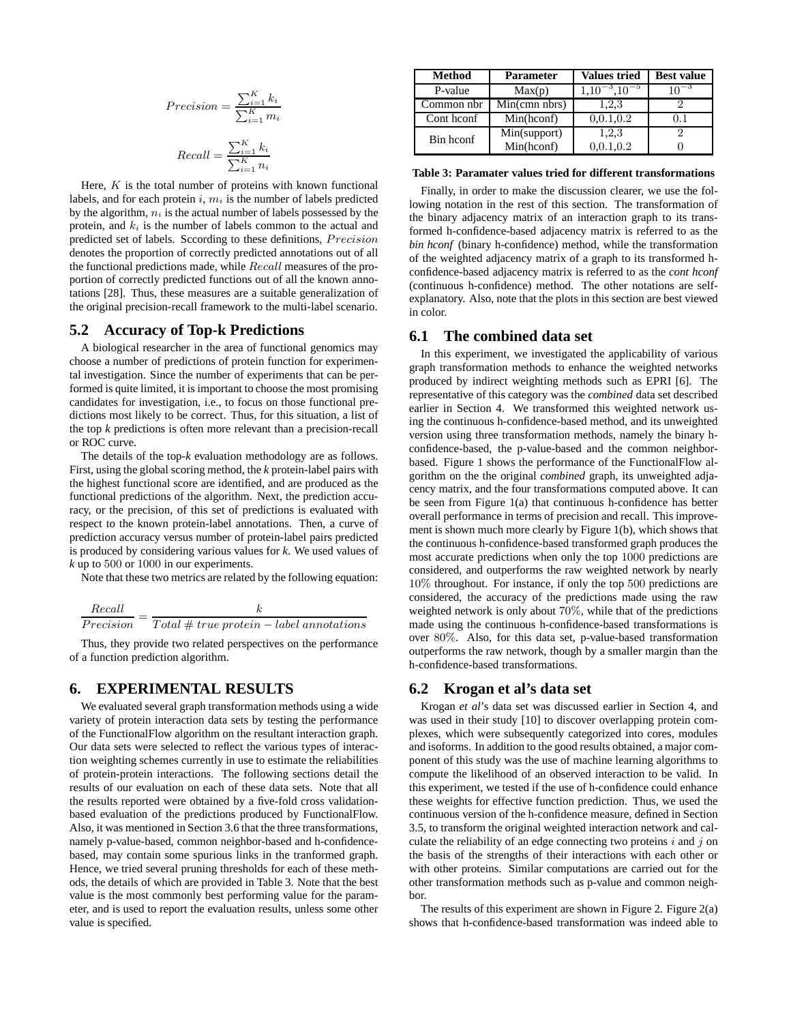$$
Precision = \frac{\sum_{i=1}^{K} k_i}{\sum_{i=1}^{K} m_i}
$$

$$
Recall = \frac{\sum_{i=1}^{K} k_i}{\sum_{i=1}^{K} n_i}
$$

Here,  $K$  is the total number of proteins with known functional labels, and for each protein  $i, m_i$  is the number of labels predicted by the algorithm,  $n_i$  is the actual number of labels possessed by the protein, and  $k_i$  is the number of labels common to the actual and predicted set of labels. Sccording to these definitions, Precision denotes the proportion of correctly predicted annotations out of all the functional predictions made, while Recall measures of the proportion of correctly predicted functions out of all the known annotations [28]. Thus, these measures are a suitable generalization of the original precision-recall framework to the multi-label scenario.

#### **5.2 Accuracy of Top-k Predictions**

A biological researcher in the area of functional genomics may choose a number of predictions of protein function for experimental investigation. Since the number of experiments that can be performed is quite limited, it is important to choose the most promising candidates for investigation, i.e., to focus on those functional predictions most likely to be correct. Thus, for this situation, a list of the top *k* predictions is often more relevant than a precision-recall or ROC curve.

The details of the top-*k* evaluation methodology are as follows. First, using the global scoring method, the *k* protein-label pairs with the highest functional score are identified, and are produced as the functional predictions of the algorithm. Next, the prediction accuracy, or the precision, of this set of predictions is evaluated with respect to the known protein-label annotations. Then, a curve of prediction accuracy versus number of protein-label pairs predicted is produced by considering various values for *k*. We used values of *k* up to 500 or 1000 in our experiments.

Note that these two metrics are related by the following equation:

$$
\frac{Recall}{Precision} = \frac{k}{Total \# true \ protein - label \ annotations}
$$

Thus, they provide two related perspectives on the performance of a function prediction algorithm.

#### **6. EXPERIMENTAL RESULTS**

We evaluated several graph transformation methods using a wide variety of protein interaction data sets by testing the performance of the FunctionalFlow algorithm on the resultant interaction graph. Our data sets were selected to reflect the various types of interaction weighting schemes currently in use to estimate the reliabilities of protein-protein interactions. The following sections detail the results of our evaluation on each of these data sets. Note that all the results reported were obtained by a five-fold cross validationbased evaluation of the predictions produced by FunctionalFlow. Also, it was mentioned in Section 3.6 that the three transformations, namely p-value-based, common neighbor-based and h-confidencebased, may contain some spurious links in the tranformed graph. Hence, we tried several pruning thresholds for each of these methods, the details of which are provided in Table 3. Note that the best value is the most commonly best performing value for the parameter, and is used to report the evaluation results, unless some other value is specified.

| Method     | <b>Parameter</b> | Values tried        | <b>Best value</b> |
|------------|------------------|---------------------|-------------------|
| P-value    | Max(p)           | $^{-3}$ , $10^{-5}$ | $10^{-3}$         |
| Common nbr | Min(cmn nbrs)    | 1,2,3               |                   |
| Cont hoonf | Min(hconf)       | 0.0.1, 0.2          | 0.1               |
| Bin hoonf  | Min(support)     | 1,2,3               |                   |
|            | Min(hconf)       | 0.0.1.0.2           |                   |

**Table 3: Paramater values tried for different transformations**

Finally, in order to make the discussion clearer, we use the following notation in the rest of this section. The transformation of the binary adjacency matrix of an interaction graph to its transformed h-confidence-based adjacency matrix is referred to as the *bin hconf* (binary h-confidence) method, while the transformation of the weighted adjacency matrix of a graph to its transformed hconfidence-based adjacency matrix is referred to as the *cont hconf* (continuous h-confidence) method. The other notations are selfexplanatory. Also, note that the plots in this section are best viewed in color.

#### **6.1 The combined data set**

In this experiment, we investigated the applicability of various graph transformation methods to enhance the weighted networks produced by indirect weighting methods such as EPRI [6]. The representative of this category was the *combined* data set described earlier in Section 4. We transformed this weighted network using the continuous h-confidence-based method, and its unweighted version using three transformation methods, namely the binary hconfidence-based, the p-value-based and the common neighborbased. Figure 1 shows the performance of the FunctionalFlow algorithm on the the original *combined* graph, its unweighted adjacency matrix, and the four transformations computed above. It can be seen from Figure 1(a) that continuous h-confidence has better overall performance in terms of precision and recall. This improvement is shown much more clearly by Figure 1(b), which shows that the continuous h-confidence-based transformed graph produces the most accurate predictions when only the top 1000 predictions are considered, and outperforms the raw weighted network by nearly 10% throughout. For instance, if only the top 500 predictions are considered, the accuracy of the predictions made using the raw weighted network is only about 70%, while that of the predictions made using the continuous h-confidence-based transformations is over 80%. Also, for this data set, p-value-based transformation outperforms the raw network, though by a smaller margin than the h-confidence-based transformations.

#### **6.2 Krogan et al's data set**

Krogan *et al*'s data set was discussed earlier in Section 4, and was used in their study [10] to discover overlapping protein complexes, which were subsequently categorized into cores, modules and isoforms. In addition to the good results obtained, a major component of this study was the use of machine learning algorithms to compute the likelihood of an observed interaction to be valid. In this experiment, we tested if the use of h-confidence could enhance these weights for effective function prediction. Thus, we used the continuous version of the h-confidence measure, defined in Section 3.5, to transform the original weighted interaction network and calculate the reliability of an edge connecting two proteins  $i$  and  $j$  on the basis of the strengths of their interactions with each other or with other proteins. Similar computations are carried out for the other transformation methods such as p-value and common neighbor.

The results of this experiment are shown in Figure 2. Figure  $2(a)$ shows that h-confidence-based transformation was indeed able to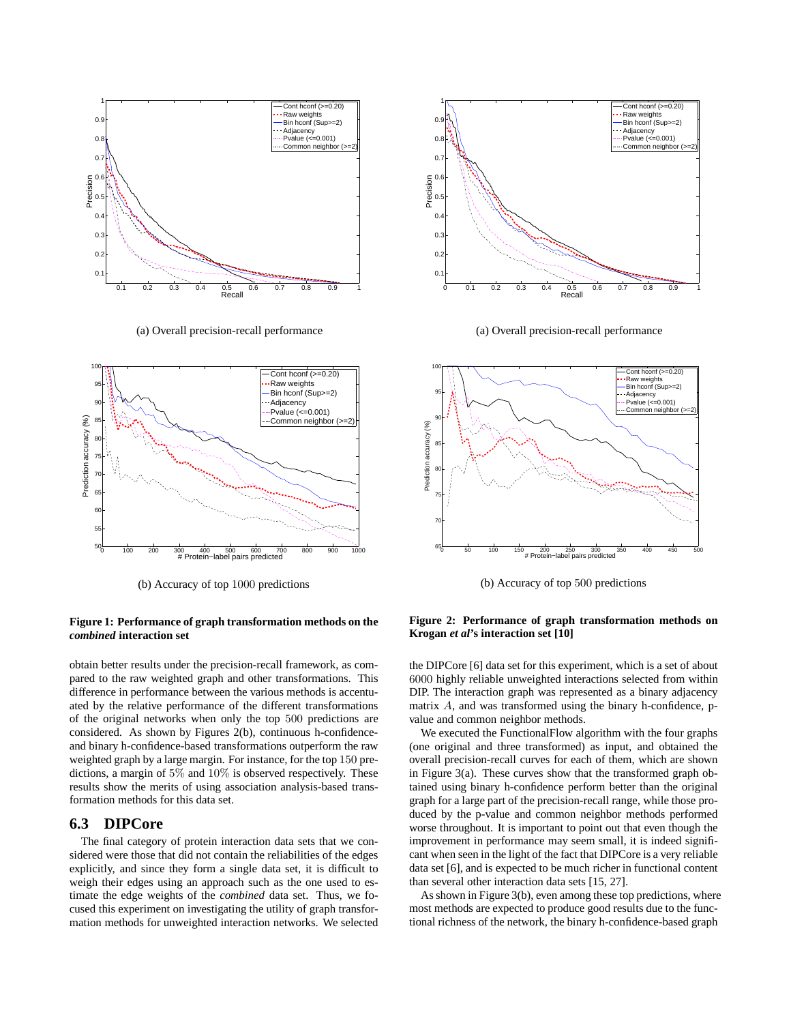

(a) Overall precision-recall performance



(b) Accuracy of top 1000 predictions

#### **Figure 1: Performance of graph transformation methods on the** *combined* **interaction set**

obtain better results under the precision-recall framework, as compared to the raw weighted graph and other transformations. This difference in performance between the various methods is accentuated by the relative performance of the different transformations of the original networks when only the top 500 predictions are considered. As shown by Figures 2(b), continuous h-confidenceand binary h-confidence-based transformations outperform the raw weighted graph by a large margin. For instance, for the top 150 predictions, a margin of 5% and 10% is observed respectively. These results show the merits of using association analysis-based transformation methods for this data set.

## **6.3 DIPCore**

The final category of protein interaction data sets that we considered were those that did not contain the reliabilities of the edges explicitly, and since they form a single data set, it is difficult to weigh their edges using an approach such as the one used to estimate the edge weights of the *combined* data set. Thus, we focused this experiment on investigating the utility of graph transformation methods for unweighted interaction networks. We selected



(a) Overall precision-recall performance



(b) Accuracy of top 500 predictions

#### **Figure 2: Performance of graph transformation methods on Krogan** *et al***'s interaction set [10]**

the DIPCore [6] data set for this experiment, which is a set of about 6000 highly reliable unweighted interactions selected from within DIP. The interaction graph was represented as a binary adjacency matrix A, and was transformed using the binary h-confidence, pvalue and common neighbor methods.

We executed the FunctionalFlow algorithm with the four graphs (one original and three transformed) as input, and obtained the overall precision-recall curves for each of them, which are shown in Figure 3(a). These curves show that the transformed graph obtained using binary h-confidence perform better than the original graph for a large part of the precision-recall range, while those produced by the p-value and common neighbor methods performed worse throughout. It is important to point out that even though the improvement in performance may seem small, it is indeed significant when seen in the light of the fact that DIPCore is a very reliable data set [6], and is expected to be much richer in functional content than several other interaction data sets [15, 27].

As shown in Figure 3(b), even among these top predictions, where most methods are expected to produce good results due to the functional richness of the network, the binary h-confidence-based graph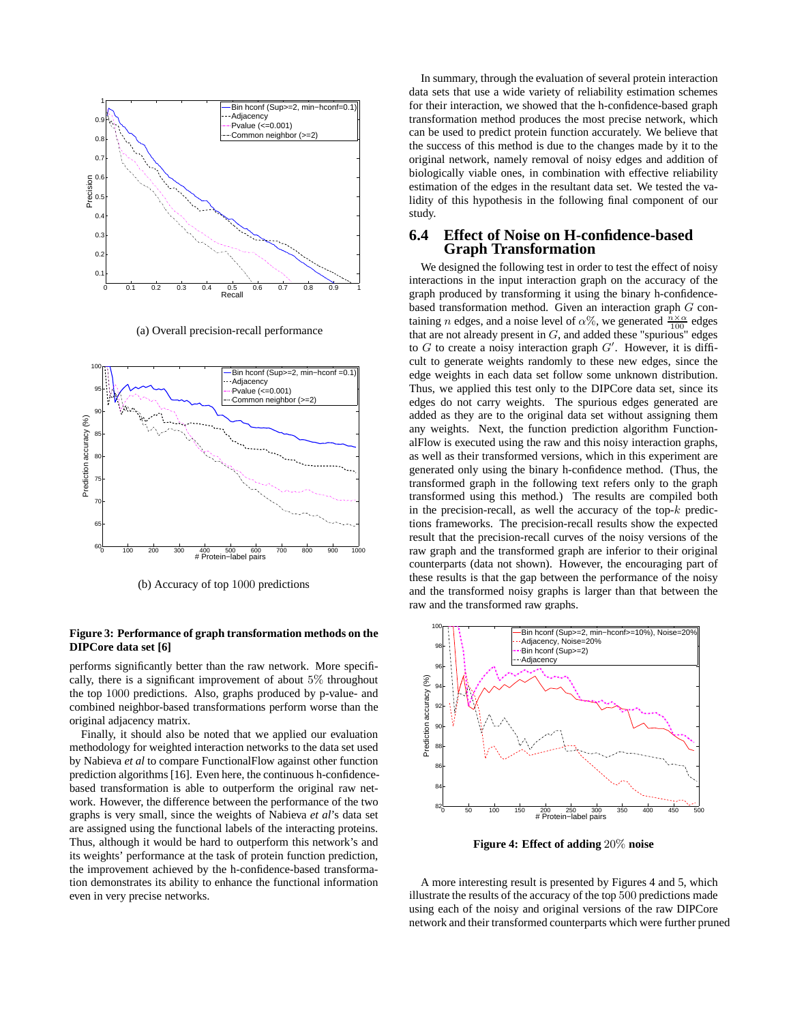

(a) Overall precision-recall performance



(b) Accuracy of top 1000 predictions

#### **Figure 3: Performance of graph transformation methods on the DIPCore data set [6]**

performs significantly better than the raw network. More specifically, there is a significant improvement of about 5% throughout the top 1000 predictions. Also, graphs produced by p-value- and combined neighbor-based transformations perform worse than the original adjacency matrix.

Finally, it should also be noted that we applied our evaluation methodology for weighted interaction networks to the data set used by Nabieva *et al* to compare FunctionalFlow against other function prediction algorithms [16]. Even here, the continuous h-confidencebased transformation is able to outperform the original raw network. However, the difference between the performance of the two graphs is very small, since the weights of Nabieva *et al*'s data set are assigned using the functional labels of the interacting proteins. Thus, although it would be hard to outperform this network's and its weights' performance at the task of protein function prediction, the improvement achieved by the h-confidence-based transformation demonstrates its ability to enhance the functional information even in very precise networks.

In summary, through the evaluation of several protein interaction data sets that use a wide variety of reliability estimation schemes for their interaction, we showed that the h-confidence-based graph transformation method produces the most precise network, which can be used to predict protein function accurately. We believe that the success of this method is due to the changes made by it to the original network, namely removal of noisy edges and addition of biologically viable ones, in combination with effective reliability estimation of the edges in the resultant data set. We tested the validity of this hypothesis in the following final component of our study.

#### **6.4 Effect of Noise on H-confidence-based Graph Transformation**

We designed the following test in order to test the effect of noisy interactions in the input interaction graph on the accuracy of the graph produced by transforming it using the binary h-confidencebased transformation method. Given an interaction graph G containing *n* edges, and a noise level of  $\alpha$ %, we generated  $\frac{\dot{n} \times \alpha}{100}$  edges that are not already present in  $G$ , and added these "spurious" edges to  $G$  to create a noisy interaction graph  $G'$ . However, it is difficult to generate weights randomly to these new edges, since the edge weights in each data set follow some unknown distribution. Thus, we applied this test only to the DIPCore data set, since its edges do not carry weights. The spurious edges generated are added as they are to the original data set without assigning them any weights. Next, the function prediction algorithm FunctionalFlow is executed using the raw and this noisy interaction graphs, as well as their transformed versions, which in this experiment are generated only using the binary h-confidence method. (Thus, the transformed graph in the following text refers only to the graph transformed using this method.) The results are compiled both in the precision-recall, as well the accuracy of the top- $k$  predictions frameworks. The precision-recall results show the expected result that the precision-recall curves of the noisy versions of the raw graph and the transformed graph are inferior to their original counterparts (data not shown). However, the encouraging part of these results is that the gap between the performance of the noisy and the transformed noisy graphs is larger than that between the raw and the transformed raw graphs.



**Figure 4: Effect of adding** 20% **noise**

A more interesting result is presented by Figures 4 and 5, which illustrate the results of the accuracy of the top 500 predictions made using each of the noisy and original versions of the raw DIPCore network and their transformed counterparts which were further pruned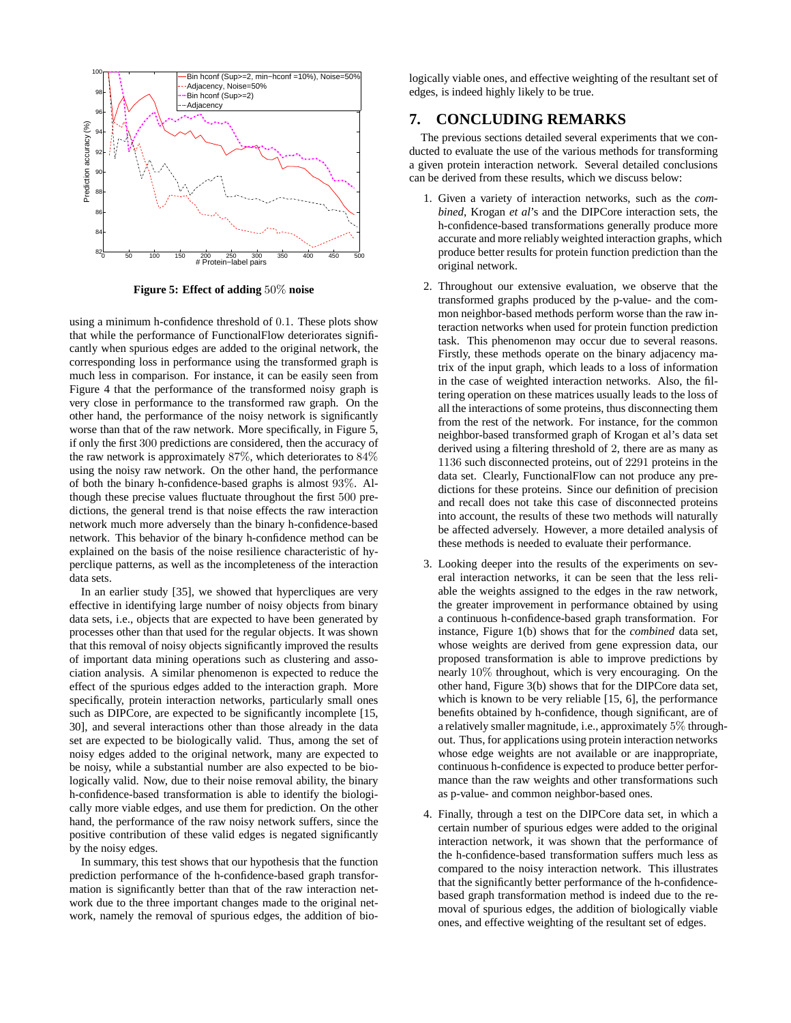

**Figure 5: Effect of adding** 50% **noise**

using a minimum h-confidence threshold of 0.1. These plots show that while the performance of FunctionalFlow deteriorates significantly when spurious edges are added to the original network, the corresponding loss in performance using the transformed graph is much less in comparison. For instance, it can be easily seen from Figure 4 that the performance of the transformed noisy graph is very close in performance to the transformed raw graph. On the other hand, the performance of the noisy network is significantly worse than that of the raw network. More specifically, in Figure 5, if only the first 300 predictions are considered, then the accuracy of the raw network is approximately 87%, which deteriorates to 84% using the noisy raw network. On the other hand, the performance of both the binary h-confidence-based graphs is almost 93%. Although these precise values fluctuate throughout the first 500 predictions, the general trend is that noise effects the raw interaction network much more adversely than the binary h-confidence-based network. This behavior of the binary h-confidence method can be explained on the basis of the noise resilience characteristic of hyperclique patterns, as well as the incompleteness of the interaction data sets.

In an earlier study [35], we showed that hypercliques are very effective in identifying large number of noisy objects from binary data sets, i.e., objects that are expected to have been generated by processes other than that used for the regular objects. It was shown that this removal of noisy objects significantly improved the results of important data mining operations such as clustering and association analysis. A similar phenomenon is expected to reduce the effect of the spurious edges added to the interaction graph. More specifically, protein interaction networks, particularly small ones such as DIPCore, are expected to be significantly incomplete [15, 30], and several interactions other than those already in the data set are expected to be biologically valid. Thus, among the set of noisy edges added to the original network, many are expected to be noisy, while a substantial number are also expected to be biologically valid. Now, due to their noise removal ability, the binary h-confidence-based transformation is able to identify the biologically more viable edges, and use them for prediction. On the other hand, the performance of the raw noisy network suffers, since the positive contribution of these valid edges is negated significantly by the noisy edges.

In summary, this test shows that our hypothesis that the function prediction performance of the h-confidence-based graph transformation is significantly better than that of the raw interaction network due to the three important changes made to the original network, namely the removal of spurious edges, the addition of biologically viable ones, and effective weighting of the resultant set of edges, is indeed highly likely to be true.

## **7. CONCLUDING REMARKS**

The previous sections detailed several experiments that we conducted to evaluate the use of the various methods for transforming a given protein interaction network. Several detailed conclusions can be derived from these results, which we discuss below:

- 1. Given a variety of interaction networks, such as the *combined*, Krogan *et al*'s and the DIPCore interaction sets, the h-confidence-based transformations generally produce more accurate and more reliably weighted interaction graphs, which produce better results for protein function prediction than the original network.
- 2. Throughout our extensive evaluation, we observe that the transformed graphs produced by the p-value- and the common neighbor-based methods perform worse than the raw interaction networks when used for protein function prediction task. This phenomenon may occur due to several reasons. Firstly, these methods operate on the binary adjacency matrix of the input graph, which leads to a loss of information in the case of weighted interaction networks. Also, the filtering operation on these matrices usually leads to the loss of all the interactions of some proteins, thus disconnecting them from the rest of the network. For instance, for the common neighbor-based transformed graph of Krogan et al's data set derived using a filtering threshold of 2, there are as many as 1136 such disconnected proteins, out of 2291 proteins in the data set. Clearly, FunctionalFlow can not produce any predictions for these proteins. Since our definition of precision and recall does not take this case of disconnected proteins into account, the results of these two methods will naturally be affected adversely. However, a more detailed analysis of these methods is needed to evaluate their performance.
- 3. Looking deeper into the results of the experiments on several interaction networks, it can be seen that the less reliable the weights assigned to the edges in the raw network, the greater improvement in performance obtained by using a continuous h-confidence-based graph transformation. For instance, Figure 1(b) shows that for the *combined* data set, whose weights are derived from gene expression data, our proposed transformation is able to improve predictions by nearly 10% throughout, which is very encouraging. On the other hand, Figure 3(b) shows that for the DIPCore data set, which is known to be very reliable [15, 6], the performance benefits obtained by h-confidence, though significant, are of a relatively smaller magnitude, i.e., approximately 5% throughout. Thus, for applications using protein interaction networks whose edge weights are not available or are inappropriate, continuous h-confidence is expected to produce better performance than the raw weights and other transformations such as p-value- and common neighbor-based ones.
- 4. Finally, through a test on the DIPCore data set, in which a certain number of spurious edges were added to the original interaction network, it was shown that the performance of the h-confidence-based transformation suffers much less as compared to the noisy interaction network. This illustrates that the significantly better performance of the h-confidencebased graph transformation method is indeed due to the removal of spurious edges, the addition of biologically viable ones, and effective weighting of the resultant set of edges.